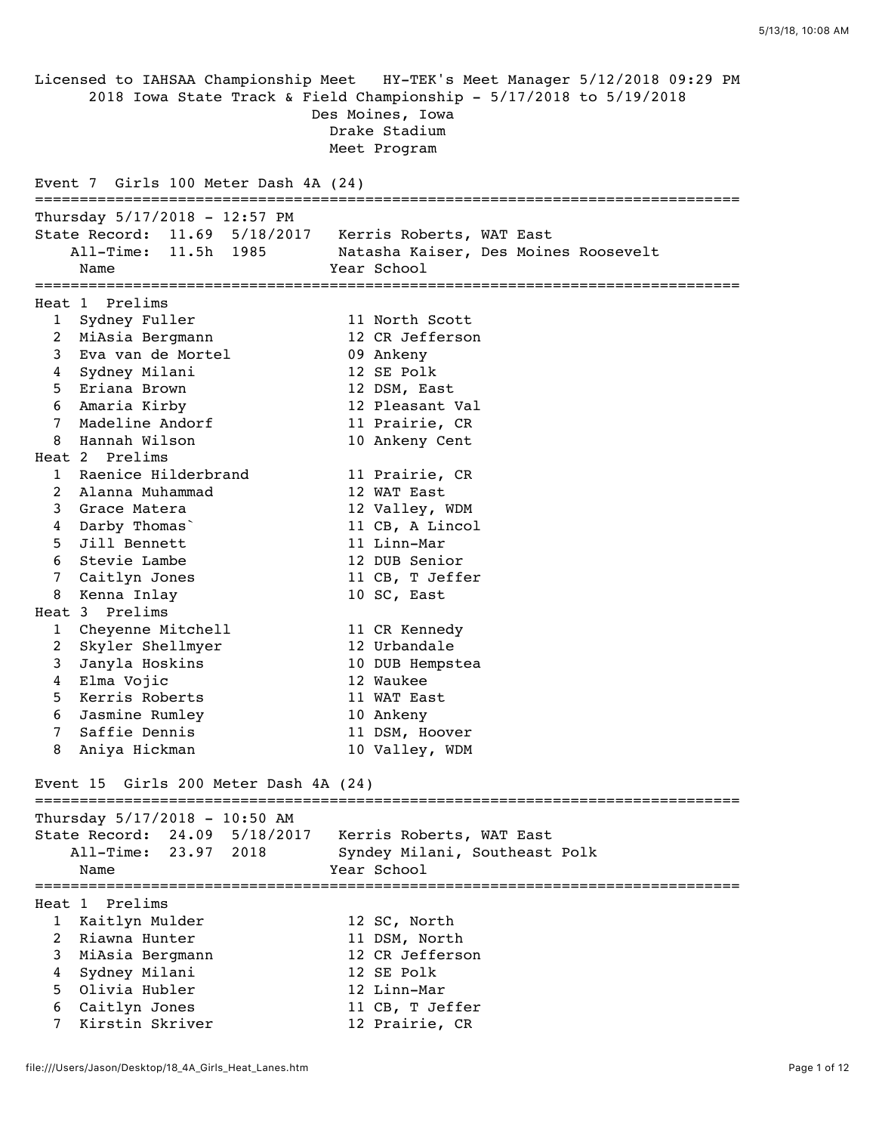Licensed to IAHSAA Championship Meet HY-TEK's Meet Manager 5/12/2018 09:29 PM 2018 Iowa State Track & Field Championship - 5/17/2018 to 5/19/2018 Des Moines, Iowa Drake Stadium Meet Program Event 7 Girls 100 Meter Dash 4A (24) =============================================================================== Thursday 5/17/2018 - 12:57 PM State Record: 11.69 5/18/2017 Kerris Roberts, WAT East All-Time: 11.5h 1985 Natasha Kaiser, Des Moines Roosevelt Name Year School =============================================================================== Heat 1 Prelims 1 Sydney Fuller 11 North Scott 2 MiAsia Bergmann 12 CR Jefferson 3 Eva van de Mortel 09 Ankeny 4 Sydney Milani 12 SE Polk 5 Eriana Brown 12 DSM, East 6 Amaria Kirby 12 Pleasant Val 7 Madeline Andorf 11 Prairie, CR 8 Hannah Wilson 10 Ankeny Cent Heat 2 Prelims 1 Raenice Hilderbrand 11 Prairie, CR 2 Alanna Muhammad 12 WAT East 3 Grace Matera 12 Valley, WDM 4 Darby Thomas` 11 CB, A Lincol 5 Jill Bennett 11 Linn-Mar 6 Stevie Lambe 12 DUB Senior 7 Caitlyn Jones 11 CB, T Jeffer 8 Kenna Inlay 10 SC, East Heat 3 Prelims 1 Cheyenne Mitchell 11 CR Kennedy 2 Skyler Shellmyer 12 Urbandale 3 Janyla Hoskins 10 DUB Hempstea 4 Elma Vojic 12 Waukee 5 Kerris Roberts 11 WAT East 6 Jasmine Rumley 10 Ankeny 7 Saffie Dennis 11 DSM, Hoover 8 Aniya Hickman 10 Valley, WDM Event 15 Girls 200 Meter Dash 4A (24) =============================================================================== Thursday 5/17/2018 - 10:50 AM State Record: 24.09 5/18/2017 Kerris Roberts, WAT East All-Time: 23.97 2018 Syndey Milani, Southeast Polk Name **Year** School =============================================================================== Heat 1 Prelims 1 Kaitlyn Mulder 12 SC, North 2 Riawna Hunter 11 DSM, North 3 MiAsia Bergmann 12 CR Jefferson 4 Sydney Milani 12 SE Polk 5 Olivia Hubler 12 Linn-Mar 6 Caitlyn Jones 11 CB, T Jeffer 7 Kirstin Skriver 12 Prairie, CR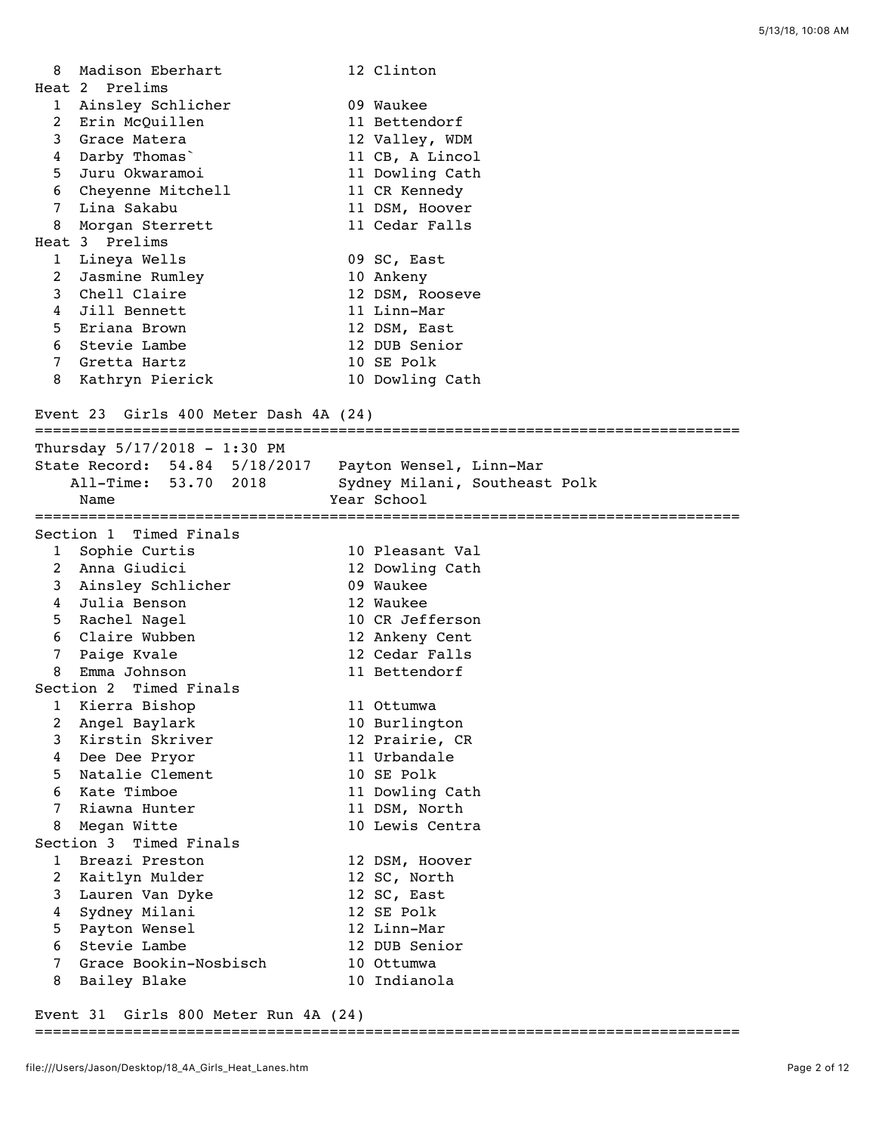| 8                     | Madison Eberhart<br>Heat 2 Prelims    |             | 12 Clinton                    |
|-----------------------|---------------------------------------|-------------|-------------------------------|
| $\mathbf{1}$          | Ainsley Schlicher                     |             | 09 Waukee                     |
| $\mathbf{2}^{\prime}$ | Erin McQuillen                        |             | 11 Bettendorf                 |
| 3                     | Grace Matera                          |             | 12 Valley, WDM                |
| 4                     | Darby Thomas                          |             | 11 CB, A Lincol               |
| 5                     | Juru Okwaramoi                        |             | 11 Dowling Cath               |
| 6                     | Cheyenne Mitchell                     |             | 11 CR Kennedy                 |
| 7                     | Lina Sakabu                           |             | 11 DSM, Hoover                |
| 8                     | Morgan Sterrett                       |             | 11 Cedar Falls                |
|                       | Heat 3 Prelims                        |             |                               |
| $\mathbf{1}$          | Lineya Wells                          |             | 09 SC, East                   |
| 2                     | Jasmine Rumley                        |             | 10 Ankeny                     |
| 3                     | Chell Claire                          |             | 12 DSM, Rooseve               |
| 4                     | Jill Bennett                          |             | 11 Linn-Mar                   |
| 5                     | Eriana Brown                          |             | 12 DSM, East                  |
| 6                     | Stevie Lambe                          |             | 12 DUB Senior                 |
| 7                     | Gretta Hartz                          |             | 10 SE Polk                    |
| 8                     | Kathryn Pierick                       |             | 10 Dowling Cath               |
|                       |                                       |             |                               |
|                       | Event 23 Girls 400 Meter Dash 4A (24) |             |                               |
|                       | Thursday 5/17/2018 - 1:30 PM          |             |                               |
|                       | State Record: 54.84 5/18/2017         |             | Payton Wensel, Linn-Mar       |
|                       | All-Time: 53.70 2018                  |             | Sydney Milani, Southeast Polk |
|                       | Name                                  | Year School |                               |
|                       | Section 1 Timed Finals                |             |                               |
| $\mathbf{1}$          | Sophie Curtis                         |             | 10 Pleasant Val               |
| $2^{\circ}$           | Anna Giudici                          |             | 12 Dowling Cath               |
|                       | 3 Ainsley Schlicher                   |             | 09 Waukee                     |
| 4                     | Julia Benson                          |             | 12 Waukee                     |
| 5                     | Rachel Nagel                          |             | 10 CR Jefferson               |
| 6                     | Claire Wubben                         |             | 12 Ankeny Cent                |
| 7                     | Paige Kvale                           |             | 12 Cedar Falls                |
| 8                     | Emma Johnson                          |             | 11 Bettendorf                 |
|                       | Section 2 Timed Finals                |             |                               |
| $\mathbf 1$           | Kierra Bishop                         |             | 11 Ottumwa                    |
| $\overline{a}$        | Angel Baylark                         |             | 10 Burlington                 |
| 3                     | Kirstin Skriver                       |             | 12 Prairie, CR                |
| 4                     | Dee Dee Pryor                         |             | 11 Urbandale                  |
| 5                     | Natalie Clement                       |             | 10 SE Polk                    |
| 6                     | Kate Timboe                           |             | 11 Dowling Cath               |
| 7                     | Riawna Hunter                         |             | 11 DSM, North                 |
| 8                     | Megan Witte                           |             | 10 Lewis Centra               |
|                       | Section 3 Timed Finals                |             |                               |
| $\mathbf{1}$          | Breazi Preston                        |             | 12 DSM, Hoover                |
| $\overline{a}$        | Kaitlyn Mulder                        |             | 12 SC, North                  |
| 3                     | Lauren Van Dyke                       |             | 12 SC, East                   |
| 4                     | Sydney Milani                         |             | 12 SE Polk                    |
| 5                     | Payton Wensel                         |             | 12 Linn-Mar                   |
| 6                     | Stevie Lambe                          |             | 12 DUB Senior                 |
| 7                     | Grace Bookin-Nosbisch                 |             | 10 Ottumwa                    |
| 8                     | Bailey Blake                          |             | 10 Indianola                  |
|                       |                                       |             |                               |

Event 31 Girls 800 Meter Run 4A (24)

## ===============================================================================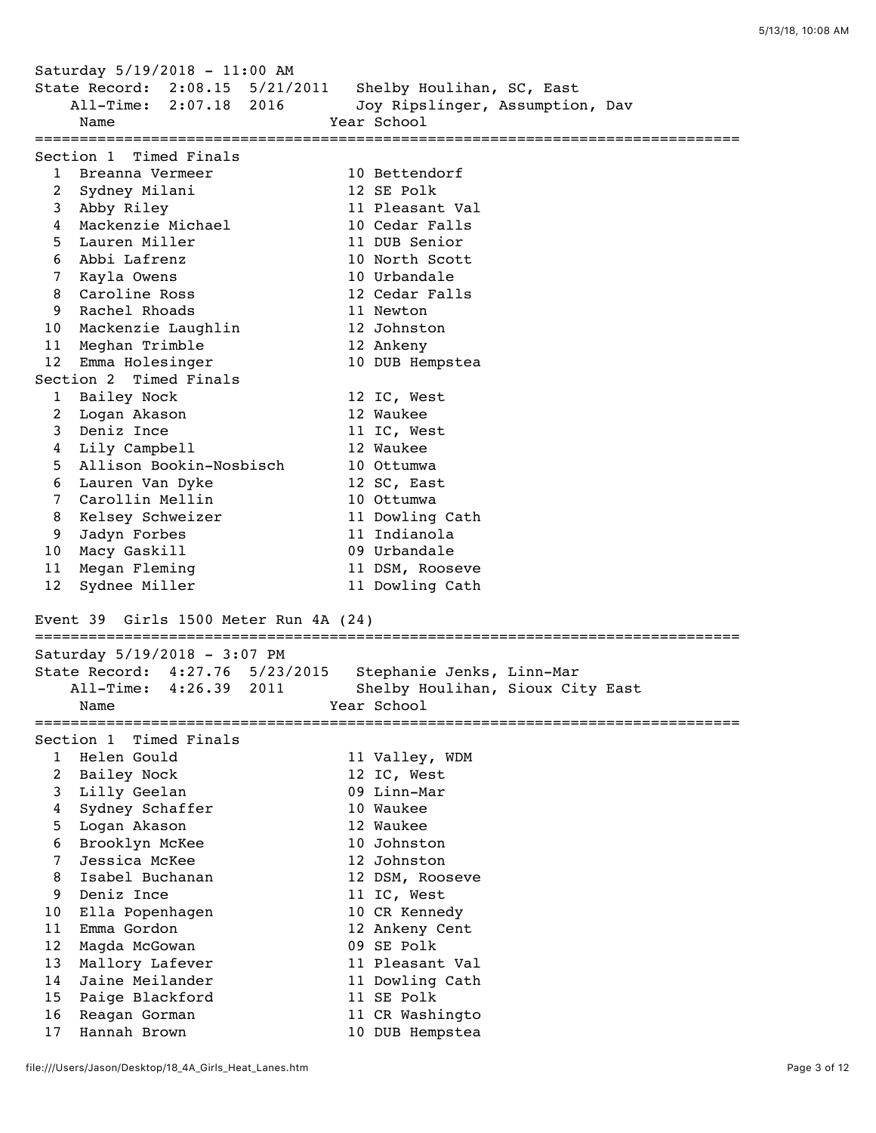Saturday 5/19/2018 - 11:00 AM State Record: 2:08.15 5/21/2011 Shelby Houlihan, SC, East All-Time: 2:07.18 2016 Joy Ripslinger, Assumption, Dav  $\frac{1}{2}$   $\frac{1}{2}$   $\frac{1}{2}$   $\frac{1}{2}$   $\frac{1}{2}$   $\frac{1}{2}$   $\frac{1}{2}$   $\frac{1}{2}$   $\frac{1}{2}$   $\frac{1}{2}$   $\frac{1}{2}$   $\frac{1}{2}$   $\frac{1}{2}$   $\frac{1}{2}$   $\frac{1}{2}$   $\frac{1}{2}$   $\frac{1}{2}$   $\frac{1}{2}$   $\frac{1}{2}$   $\frac{1}{2}$   $\frac{1}{2}$   $\frac{1}{2}$  =============================================================================== Section 1 Timed Finals 1 Breanna Vermeer 10 Bettendorf 2 Sydney Milani 12 SE Polk 3 Abby Riley 11 Pleasant Val 4 Mackenzie Michael 10 Cedar Falls 5 Lauren Miller 11 DUB Senior 6 Abbi Lafrenz 10 North Scott 7 Kayla Owens 10 Urbandale 8 Caroline Ross 12 Cedar Falls 9 Rachel Rhoads 11 Newton 10 Mackenzie Laughlin 12 Johnston 11 Meghan Trimble 12 Ankeny 12 Emma Holesinger 10 DUB Hempstea Section 2 Timed Finals 1 Bailey Nock 12 IC, West 2 Logan Akason 12 Waukee 3 Deniz Ince 11 IC, West 4 Lily Campbell 12 Waukee 5 Allison Bookin-Nosbisch 10 Ottumwa 6 Lauren Van Dyke 12 SC, East 7 Carollin Mellin 10 Ottumwa 8 Kelsey Schweizer 11 Dowling Cath 9 Jadyn Forbes 11 Indianola 10 Macy Gaskill 09 Urbandale 11 Megan Fleming 11 DSM, Rooseve 12 Sydnee Miller 11 Dowling Cath Event 39 Girls 1500 Meter Run 4A (24) =============================================================================== Saturday 5/19/2018 - 3:07 PM State Record: 4:27.76 5/23/2015 Stephanie Jenks, Linn-Mar All-Time: 4:26.39 2011 Shelby Houlihan, Sioux City East Name **Year** School =============================================================================== Section 1 Timed Finals 1 Helen Gould 11 Valley, WDM 2 Bailey Nock 12 IC, West 3 Lilly Geelan 09 Linn-Mar 4 Sydney Schaffer 10 Waukee 5 Logan Akason 12 Waukee 6 Brooklyn McKee 10 Johnston 7 Jessica McKee 12 Johnston 8 Isabel Buchanan 12 DSM, Rooseve 9 Deniz Ince 11 IC, West 10 Ella Popenhagen 10 CR Kennedy 11 Emma Gordon 12 Ankeny Cent 12 Magda McGowan 09 SE Polk 13 Mallory Lafever 11 Pleasant Val 14 Jaine Meilander 11 Dowling Cath 15 Paige Blackford 11 SE Polk 16 Reagan Gorman 11 CR Washingto 17 Hannah Brown 10 DUB Hempstea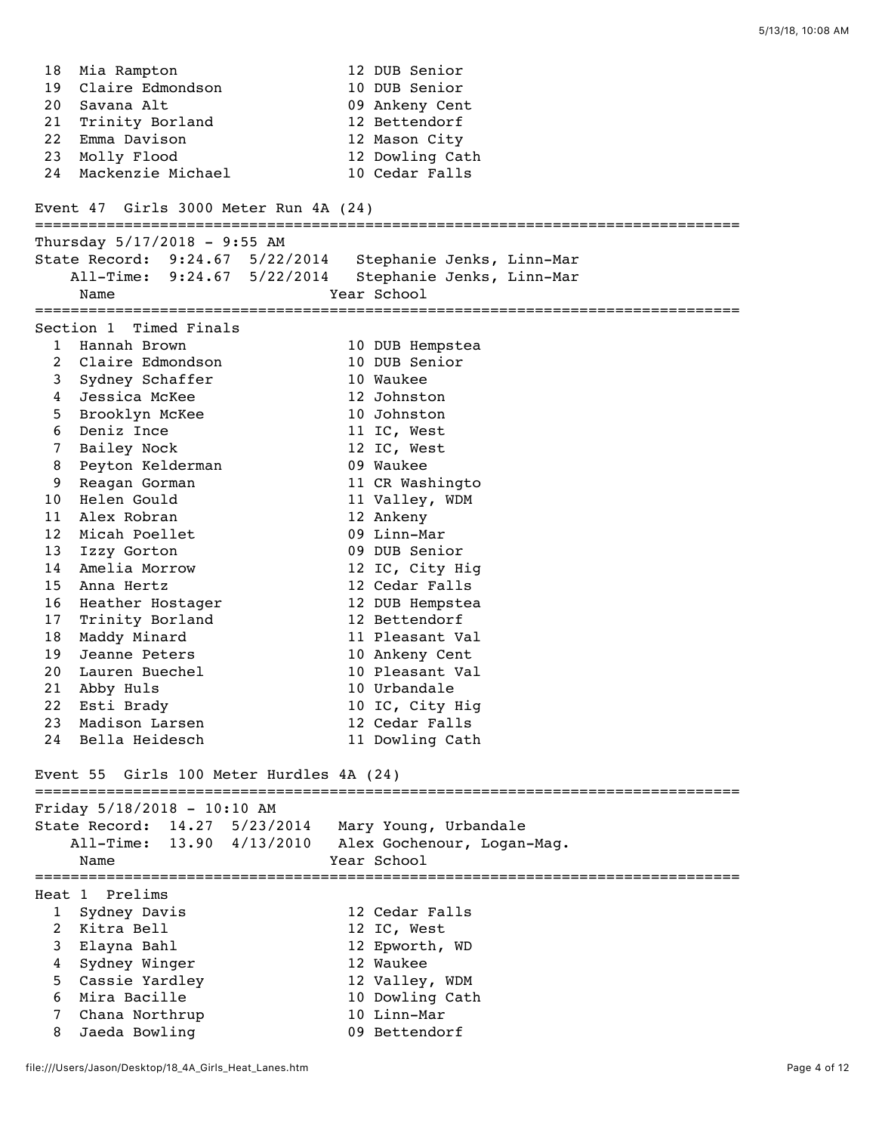18 Mia Rampton 12 DUB Senior 19 Claire Edmondson 10 DUB Senior 20 Savana Alt 09 Ankeny Cent 21 Trinity Borland 12 Bettendorf 22 Emma Davison 12 Mason City 23 Molly Flood 12 Dowling Cath 24 Mackenzie Michael 10 Cedar Falls Event 47 Girls 3000 Meter Run 4A (24) =============================================================================== Thursday 5/17/2018 - 9:55 AM State Record: 9:24.67 5/22/2014 Stephanie Jenks, Linn-Mar All-Time: 9:24.67 5/22/2014 Stephanie Jenks, Linn-Mar Name Year School =============================================================================== Section 1 Timed Finals 1 Hannah Brown 10 DUB Hempstea 2 Claire Edmondson 10 DUB Senior 3 Sydney Schaffer 10 Waukee 4 Jessica McKee 12 Johnston 5 Brooklyn McKee 10 Johnston 6 Deniz Ince 11 IC, West 7 Bailey Nock 12 IC, West 8 Peyton Kelderman 09 Waukee 9 Reagan Gorman 11 CR Washingto 10 Helen Gould 11 Valley, WDM 11 Alex Robran 12 Ankeny 12 Micah Poellet 09 Linn-Mar 13 Izzy Gorton 09 DUB Senior 14 Amelia Morrow 12 IC, City Hig 15 Anna Hertz 12 Cedar Falls 16 Heather Hostager 12 DUB Hempstea 17 Trinity Borland 12 Bettendorf 18 Maddy Minard 11 Pleasant Val 19 Jeanne Peters 10 Ankeny Cent 20 Lauren Buechel 10 Pleasant Val 21 Abby Huls 10 Urbandale 22 Esti Brady 10 IC, City Hig 23 Madison Larsen 12 Cedar Falls 24 Bella Heidesch 11 Dowling Cath Event 55 Girls 100 Meter Hurdles 4A (24) =============================================================================== Friday 5/18/2018 - 10:10 AM State Record: 14.27 5/23/2014 Mary Young, Urbandale All-Time: 13.90 4/13/2010 Alex Gochenour, Logan-Mag. Name Year School =============================================================================== Heat 1 Prelims 1 Sydney Davis 12 Cedar Falls 2 Kitra Bell 12 IC, West 3 Elayna Bahl 12 Epworth, WD 4 Sydney Winger 12 Waukee 5 Cassie Yardley 12 Valley, WDM 6 Mira Bacille 10 Dowling Cath 7 Chana Northrup 10 Linn-Mar 8 Jaeda Bowling 1988 1998 Bettendorf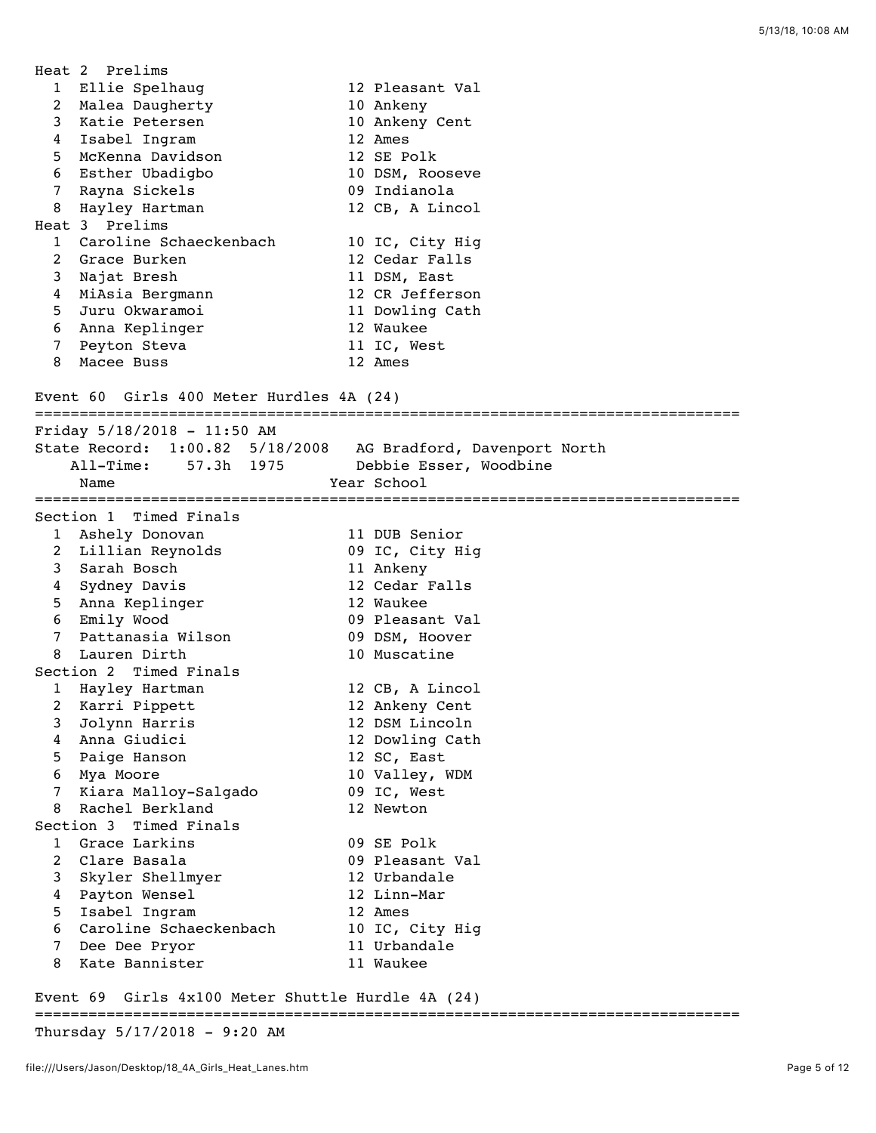|                 | Heat 2 Prelims                                    |                              |
|-----------------|---------------------------------------------------|------------------------------|
|                 | 1 Ellie Spelhaug                                  | 12 Pleasant Val              |
| $\overline{2}$  | Malea Daugherty                                   | 10 Ankeny                    |
| 3               | Katie Petersen                                    | 10 Ankeny Cent               |
|                 | 4 Isabel Ingram                                   | 12 Ames                      |
| 5.              | McKenna Davidson                                  | 12 SE Polk                   |
| 6               | Esther Ubadigbo                                   | 10 DSM, Rooseve              |
| $7^{\circ}$     | Rayna Sickels                                     | 09 Indianola                 |
| 8               | Hayley Hartman                                    | 12 CB, A Lincol              |
|                 | Heat 3 Prelims                                    |                              |
|                 | 1 Caroline Schaeckenbach                          | 10 IC, City Hig              |
| $2^{\circ}$     | Grace Burken                                      | 12 Cedar Falls               |
| 3               | Najat Bresh                                       | 11 DSM, East                 |
| 4               | MiAsia Bergmann                                   | 12 CR Jefferson              |
| 5               | Juru Okwaramoi                                    | 11 Dowling Cath              |
| 6               | Anna Keplinger                                    | 12 Waukee                    |
| $7\degree$      | Peyton Steva                                      | 11 IC, West                  |
| 8               | Macee Buss                                        | 12 Ames                      |
|                 |                                                   |                              |
|                 | Event 60 Girls 400 Meter Hurdles 4A (24)          |                              |
|                 |                                                   |                              |
|                 | Friday $5/18/2018 - 11:50$ AM                     |                              |
|                 | State Record: 1:00.82 5/18/2008                   | AG Bradford, Davenport North |
|                 | $All-Time:$<br>57.3h 1975                         | Debbie Esser, Woodbine       |
|                 | Name                                              | Year School                  |
|                 |                                                   |                              |
|                 | Section 1 Timed Finals                            |                              |
|                 | 1 Ashely Donovan                                  | 11 DUB Senior                |
|                 | 2 Lillian Reynolds                                | 09 IC, City Hig              |
|                 | 3 Sarah Bosch                                     | 11 Ankeny                    |
|                 | 4 Sydney Davis                                    | 12 Cedar Falls               |
|                 | 5 Anna Keplinger                                  | 12 Waukee                    |
|                 | 6 Emily Wood                                      | 09 Pleasant Val              |
| $7^{\circ}$     | Pattanasia Wilson                                 | 09 DSM, Hoover               |
| 8               | Lauren Dirth                                      | 10 Muscatine                 |
|                 | Section 2 Timed Finals                            |                              |
| 1               | Hayley Hartman                                    | 12 CB, A Lincol              |
|                 | 2 Karri Pippett                                   | 12 Ankeny Cent               |
| 3               | Jolynn Harris                                     | 12 DSM Lincoln               |
| 4               | Anna Giudici                                      | 12 Dowling Cath              |
| 5               | Paige Hanson                                      | 12 SC, East                  |
| 6               | Mya Moore                                         | 10 Valley, WDM               |
| $7\overline{ }$ | Kiara Malloy-Salgado                              | 09 IC, West                  |
| 8               | Rachel Berkland                                   | 12 Newton                    |
|                 | Section 3 Timed Finals                            |                              |
| 1               | Grace Larkins                                     | 09 SE Polk                   |
| $\overline{a}$  | Clare Basala                                      | 09 Pleasant Val              |
|                 | 3 Skyler Shellmyer                                | 12 Urbandale                 |
| 4               | Payton Wensel                                     | 12 Linn-Mar                  |
| 5               | Isabel Ingram                                     | 12 Ames                      |
| 6               | Caroline Schaeckenbach                            | 10 IC, City Hig              |
| 7               | Dee Dee Pryor                                     | 11 Urbandale                 |
| 8               | Kate Bannister                                    | 11 Waukee                    |
|                 |                                                   |                              |
|                 | Event 69 Girls 4x100 Meter Shuttle Hurdle 4A (24) |                              |

## ===============================================================================

Thursday 5/17/2018 - 9:20 AM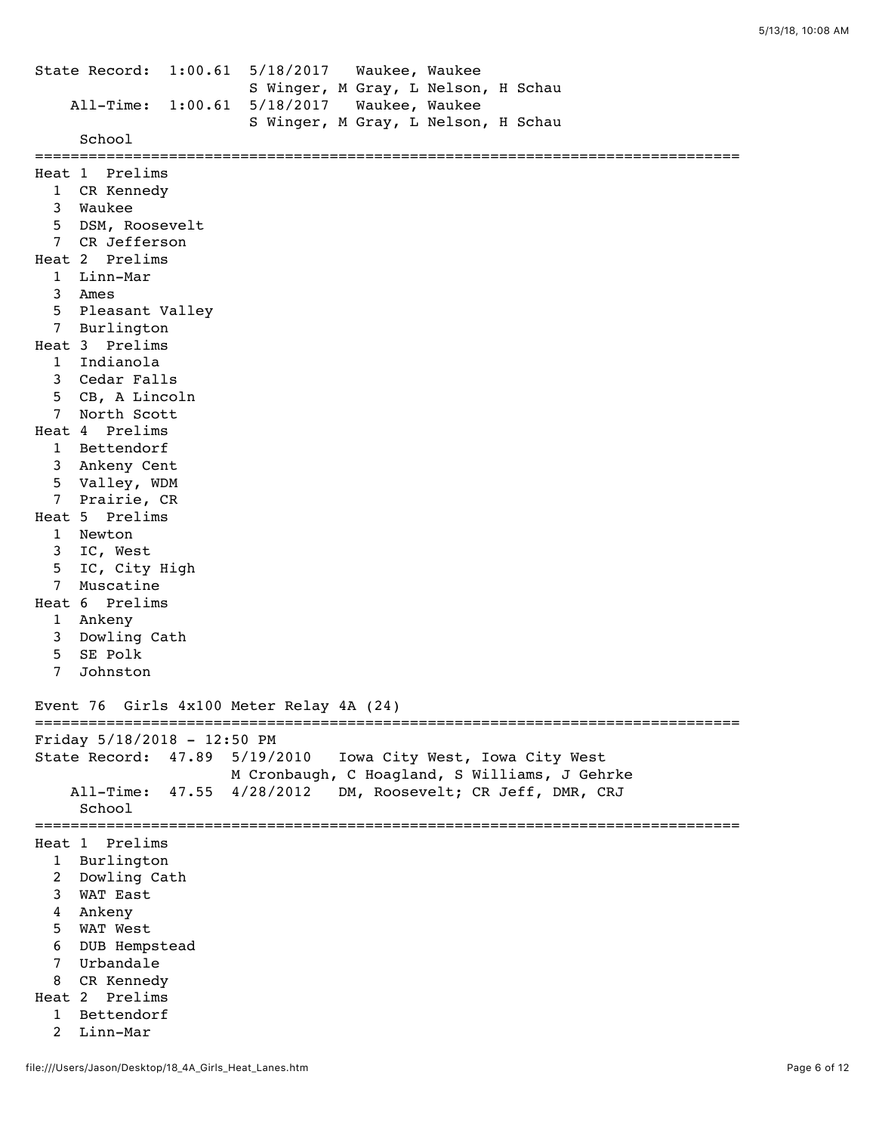```
State Record: 1:00.61 5/18/2017 Waukee, Waukee 
                         S Winger, M Gray, L Nelson, H Schau 
     All-Time: 1:00.61 5/18/2017 Waukee, Waukee 
                         S Winger, M Gray, L Nelson, H Schau 
      School 
===============================================================================
Heat 1 Prelims
  1 CR Kennedy 
   3 Waukee 
   5 DSM, Roosevelt 
  7 CR Jefferson 
Heat 2 Prelims
  1 Linn-Mar 
   3 Ames 
   5 Pleasant Valley 
  7 Burlington 
Heat 3 Prelims
  1 Indianola 
   3 Cedar Falls 
   5 CB, A Lincoln 
  7 North Scott 
Heat 4 Prelims
  1 Bettendorf 
   3 Ankeny Cent 
   5 Valley, WDM 
  7 Prairie, CR 
Heat 5 Prelims
   1 Newton 
   3 IC, West 
   5 IC, City High 
   7 Muscatine 
Heat 6 Prelims
   1 Ankeny 
   3 Dowling Cath 
   5 SE Polk 
   7 Johnston 
Event 76 Girls 4x100 Meter Relay 4A (24)
===============================================================================
Friday 5/18/2018 - 12:50 PM
State Record: 47.89 5/19/2010 Iowa City West, Iowa City West 
                      M Cronbaugh, C Hoagland, S Williams, J Gehrke 
     All-Time: 47.55 4/28/2012 DM, Roosevelt; CR Jeff, DMR, CRJ 
      School 
===============================================================================
Heat 1 Prelims
   1 Burlington 
   2 Dowling Cath 
   3 WAT East 
   4 Ankeny 
   5 WAT West 
   6 DUB Hempstead 
   7 Urbandale 
  8 CR Kennedy 
Heat 2 Prelims
  1 Bettendorf 
   2 Linn-Mar
```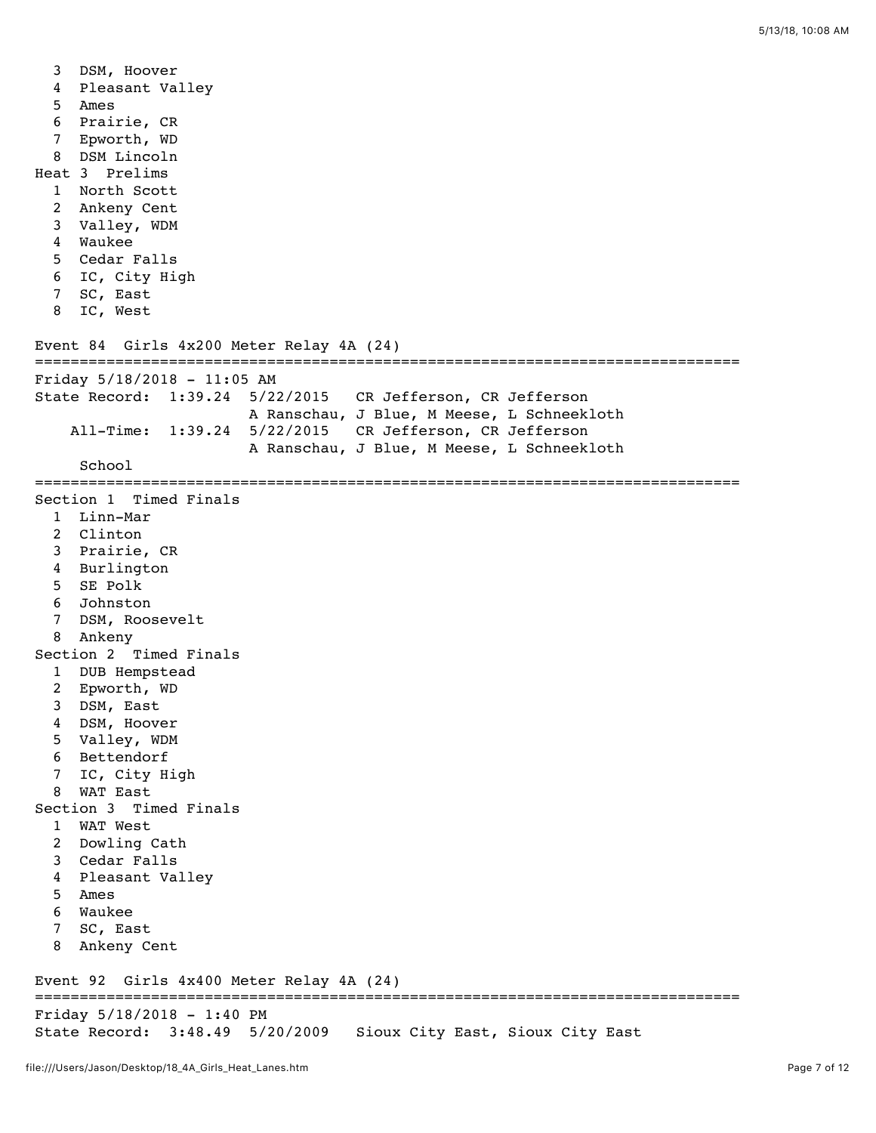```
 3 DSM, Hoover 
   4 Pleasant Valley 
   5 Ames 
   6 Prairie, CR 
   7 Epworth, WD 
   8 DSM Lincoln 
Heat 3 Prelims
   1 North Scott 
   2 Ankeny Cent 
   3 Valley, WDM 
   4 Waukee 
   5 Cedar Falls 
   6 IC, City High 
   7 SC, East 
   8 IC, West 
Event 84 Girls 4x200 Meter Relay 4A (24)
===============================================================================
Friday 5/18/2018 - 11:05 AM
State Record: 1:39.24 5/22/2015 CR Jefferson, CR Jefferson 
                         A Ranschau, J Blue, M Meese, L Schneekloth 
     All-Time: 1:39.24 5/22/2015 CR Jefferson, CR Jefferson 
                        A Ranschau, J Blue, M Meese, L Schneekloth 
     School 
===============================================================================
Section 1 Timed Finals
   1 Linn-Mar 
   2 Clinton 
   3 Prairie, CR 
   4 Burlington 
   5 SE Polk 
   6 Johnston 
   7 DSM, Roosevelt 
   8 Ankeny 
Section 2 Timed Finals
   1 DUB Hempstead 
   2 Epworth, WD 
   3 DSM, East 
   4 DSM, Hoover 
   5 Valley, WDM 
   6 Bettendorf 
   7 IC, City High 
   8 WAT East 
Section 3 Timed Finals
   1 WAT West 
   2 Dowling Cath 
   3 Cedar Falls 
   4 Pleasant Valley 
   5 Ames 
   6 Waukee 
   7 SC, East 
   8 Ankeny Cent 
Event 92 Girls 4x400 Meter Relay 4A (24)
===============================================================================
Friday 5/18/2018 - 1:40 PM
State Record: 3:48.49 5/20/2009 Sioux City East, Sioux City East
```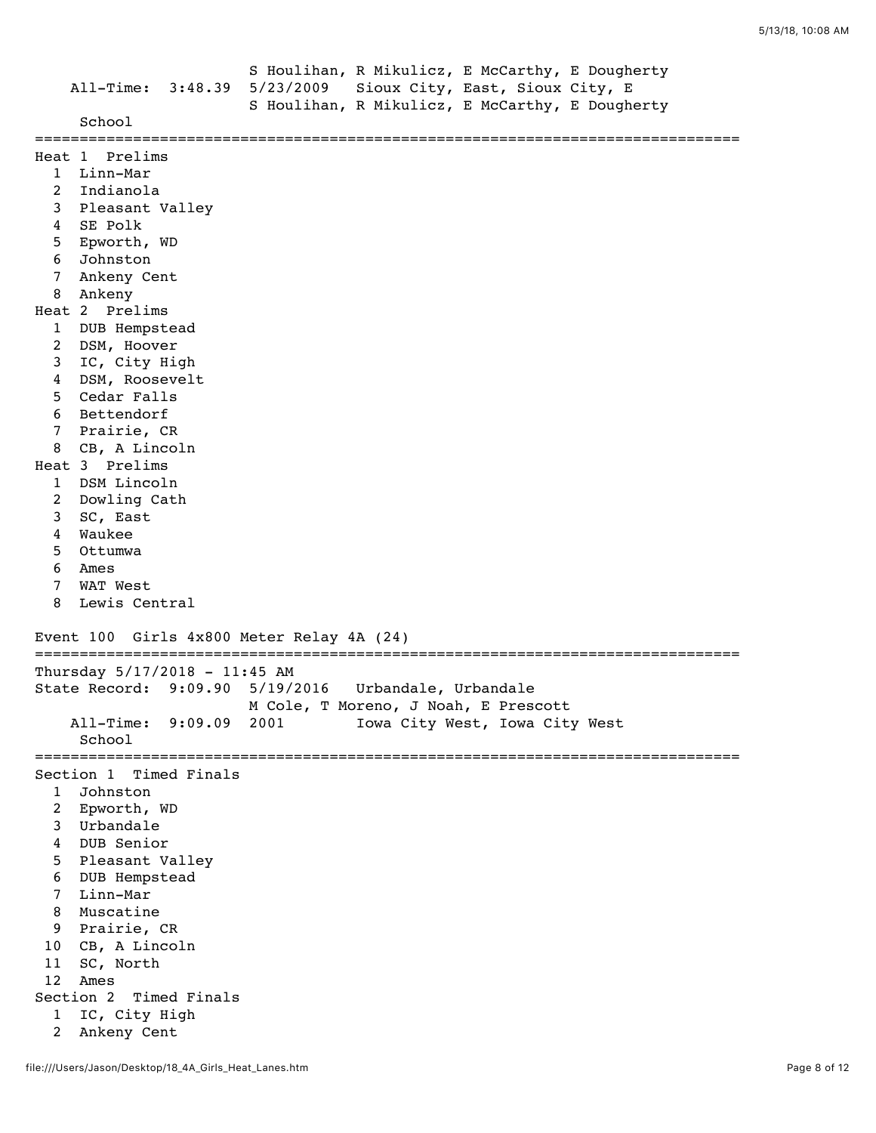|                                                                                                                                       |                                                                                                                                                                                                                                                                                                                                                                                                                   |              | All-Time: 3:48.39 5/23/2009     |                      | S Houlihan, R Mikulicz, E McCarthy, E Dougherty<br>Sioux City, East, Sioux City, E<br>S Houlihan, R Mikulicz, E McCarthy, E Dougherty |  |
|---------------------------------------------------------------------------------------------------------------------------------------|-------------------------------------------------------------------------------------------------------------------------------------------------------------------------------------------------------------------------------------------------------------------------------------------------------------------------------------------------------------------------------------------------------------------|--------------|---------------------------------|----------------------|---------------------------------------------------------------------------------------------------------------------------------------|--|
|                                                                                                                                       | School                                                                                                                                                                                                                                                                                                                                                                                                            |              |                                 |                      |                                                                                                                                       |  |
| 2<br>3<br>4<br>5<br>6<br>7<br>8<br>$\mathbf{1}$<br>2<br>3<br>4<br>5<br>6<br>7<br>8<br>$\mathbf{1}$<br>2<br>3<br>4<br>5<br>6<br>7<br>8 | Heat 1 Prelims<br>1 Linn-Mar<br>Indianola<br>Pleasant Valley<br>SE Polk<br>Epworth, WD<br>Johnston<br>Ankeny Cent<br>Ankeny<br>Heat 2 Prelims<br>DUB Hempstead<br>DSM, Hoover<br>IC, City High<br>DSM, Roosevelt<br>Cedar Falls<br>Bettendorf<br>Prairie, CR<br>CB, A Lincoln<br>Heat 3 Prelims<br>DSM Lincoln<br>Dowling Cath<br>SC, East<br>Waukee<br>Ottumwa<br>Ames<br>WAT West<br>Lewis Central<br>Event 100 |              | Girls 4x800 Meter Relay 4A (24) |                      |                                                                                                                                       |  |
|                                                                                                                                       |                                                                                                                                                                                                                                                                                                                                                                                                                   |              |                                 |                      |                                                                                                                                       |  |
|                                                                                                                                       | Thursday 5/17/2018 - 11:45 AM<br>State Record: 9:09.90<br>$All-Time:$<br>School                                                                                                                                                                                                                                                                                                                                   | 9:09.09      | 5/19/2016<br>2001               | Urbandale, Urbandale | M Cole, T Moreno, J Noah, E Prescott<br>Iowa City West, Iowa City West                                                                |  |
| 1<br>$\overline{2}$<br>3<br>4<br>5<br>6<br>7<br>8<br>9<br>10<br>11<br>12<br>1<br>$\overline{2}$                                       | Section 1 Timed Finals<br>Johnston<br>Epworth, WD<br>Urbandale<br>DUB Senior<br>Pleasant Valley<br>DUB Hempstead<br>Linn-Mar<br>Muscatine<br>Prairie, CR<br>CB, A Lincoln<br>SC, North<br>Ames<br>Section 2<br>IC, City High<br>Ankeny Cent                                                                                                                                                                       | Timed Finals |                                 |                      |                                                                                                                                       |  |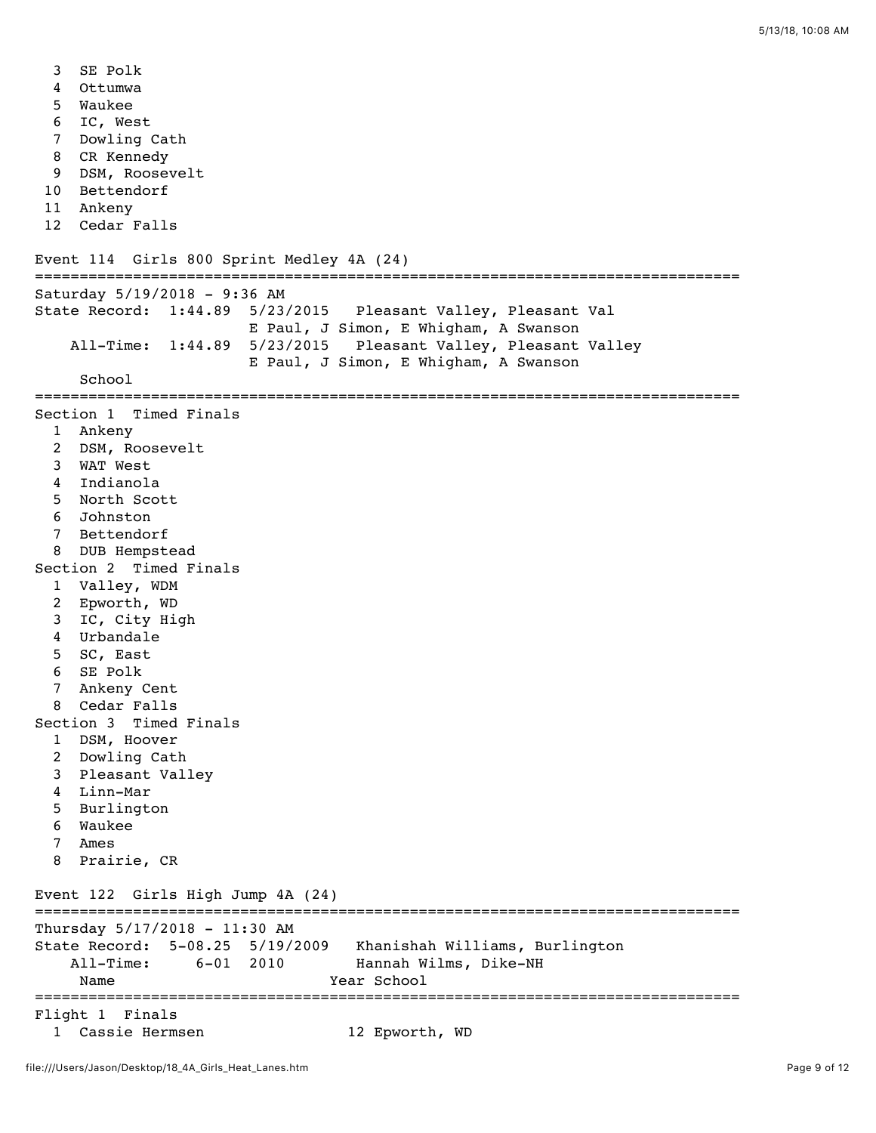3 SE Polk 4 Ottumwa 5 Waukee 6 IC, West 7 Dowling Cath 8 CR Kennedy 9 DSM, Roosevelt 10 Bettendorf 11 Ankeny 12 Cedar Falls Event 114 Girls 800 Sprint Medley 4A (24) =============================================================================== Saturday 5/19/2018 - 9:36 AM State Record: 1:44.89 5/23/2015 Pleasant Valley, Pleasant Val E Paul, J Simon, E Whigham, A Swanson All-Time: 1:44.89 5/23/2015 Pleasant Valley, Pleasant Valley E Paul, J Simon, E Whigham, A Swanson School =============================================================================== Section 1 Timed Finals 1 Ankeny 2 DSM, Roosevelt 3 WAT West 4 Indianola 5 North Scott 6 Johnston 7 Bettendorf 8 DUB Hempstead Section 2 Timed Finals 1 Valley, WDM 2 Epworth, WD 3 IC, City High 4 Urbandale 5 SC, East 6 SE Polk 7 Ankeny Cent 8 Cedar Falls Section 3 Timed Finals 1 DSM, Hoover 2 Dowling Cath 3 Pleasant Valley 4 Linn-Mar 5 Burlington 6 Waukee 7 Ames 8 Prairie, CR Event 122 Girls High Jump 4A (24) =============================================================================== Thursday 5/17/2018 - 11:30 AM State Record: 5-08.25 5/19/2009 Khanishah Williams, Burlington All-Time: 6-01 2010 Hannah Wilms, Dike-NH Name Year School =============================================================================== Flight 1 Finals 1 Cassie Hermsen 12 Epworth, WD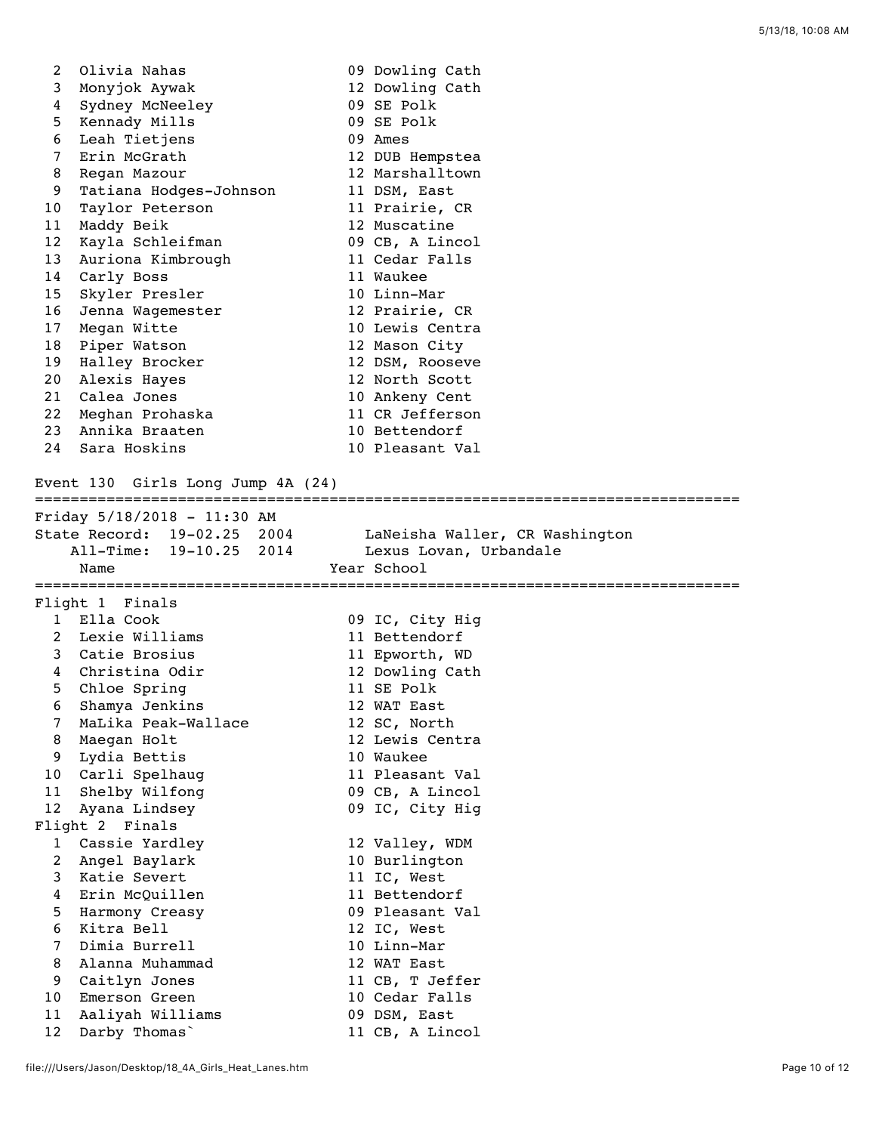| 2                     | Olivia Nahas                      | 09 Dowling Cath                  |
|-----------------------|-----------------------------------|----------------------------------|
| 3                     | Monyjok Aywak                     | 12 Dowling Cath                  |
| 4                     | Sydney McNeeley                   | 09 SE Polk                       |
| 5                     | Kennady Mills                     | 09 SE Polk                       |
| 6                     | Leah Tietjens                     | 09 Ames                          |
| 7                     | Erin McGrath                      | 12 DUB Hempstea                  |
| 8                     | Regan Mazour                      | 12 Marshalltown                  |
| 9                     | Tatiana Hodges-Johnson            | 11 DSM, East                     |
| 10                    | Taylor Peterson                   | 11 Prairie, CR                   |
| 11                    | Maddy Beik                        | 12 Muscatine                     |
| 12                    | Kayla Schleifman                  | 09 CB, A Lincol                  |
| 13                    | Auriona Kimbrough                 | 11 Cedar Falls                   |
| 14                    | Carly Boss                        | 11 Waukee                        |
| 15                    | Skyler Presler                    | 10 Linn-Mar                      |
| 16                    | Jenna Wagemester                  | 12 Prairie, CR                   |
| 17                    | Megan Witte                       | 10 Lewis Centra                  |
| 18                    | Piper Watson                      | 12 Mason City                    |
| 19                    | Halley Brocker                    | 12 DSM, Rooseve                  |
| 20                    | Alexis Hayes                      | 12 North Scott                   |
| 21                    | Calea Jones                       | 10 Ankeny Cent                   |
| 22 <sub>2</sub><br>23 | Meghan Prohaska                   | 11 CR Jefferson                  |
| 24                    | Annika Braaten<br>Sara Hoskins    | 10 Bettendorf                    |
|                       |                                   | 10 Pleasant Val                  |
|                       | Event 130 Girls Long Jump 4A (24) |                                  |
|                       | Friday 5/18/2018 - 11:30 AM       |                                  |
|                       | State Record: 19-02.25 2004       | LaNeisha Waller, CR Washington   |
|                       | All-Time: 19-10.25 2014           | Lexus Lovan, Urbandale           |
|                       | Name                              | Year School                      |
|                       |                                   |                                  |
|                       | Flight 1 Finals                   |                                  |
|                       | 1 Ella Cook                       | 09 IC, City Hig                  |
|                       | 2 Lexie Williams                  | 11 Bettendorf                    |
|                       | 3 Catie Brosius                   | 11 Epworth, WD                   |
|                       | 4 Christina Odir                  | 12 Dowling Cath                  |
| 5                     | Chloe Spring                      | 11 SE Polk                       |
|                       | 6 Shamya Jenkins                  | 12 WAT East                      |
| $\overline{7}$        | MaLika Peak-Wallace               | 12 SC, North                     |
| 8                     | Maegan Holt                       | 12 Lewis Centra                  |
| 9                     | Lydia Bettis                      | 10 Waukee                        |
| 10                    | Carli Spelhaug                    | 11 Pleasant Val                  |
| 11                    | Shelby Wilfong                    | 09 CB, A Lincol                  |
| 12                    | Ayana Lindsey                     | 09 IC, City Hig                  |
|                       | Flight 2 Finals                   |                                  |
| 1                     | Cassie Yardley                    | 12 Valley, WDM                   |
| 2                     | Angel Baylark                     | 10 Burlington                    |
| 3                     | Katie Severt                      | 11 IC, West                      |
| 4                     | Erin McQuillen                    | 11 Bettendorf<br>09 Pleasant Val |
| 5                     | Harmony Creasy                    |                                  |
| 6<br>$\overline{7}$   | Kitra Bell<br>Dimia Burrell       | 12 IC, West<br>10 Linn-Mar       |
| 8                     | Alanna Muhammad                   | 12 WAT East                      |
| 9                     | Caitlyn Jones                     | 11 CB, T Jeffer                  |
| 10                    | Emerson Green                     | 10 Cedar Falls                   |
| 11                    | Aaliyah Williams                  | 09 DSM, East                     |
|                       |                                   |                                  |
| 12                    | Darby Thomas                      | 11 CB, A Lincol                  |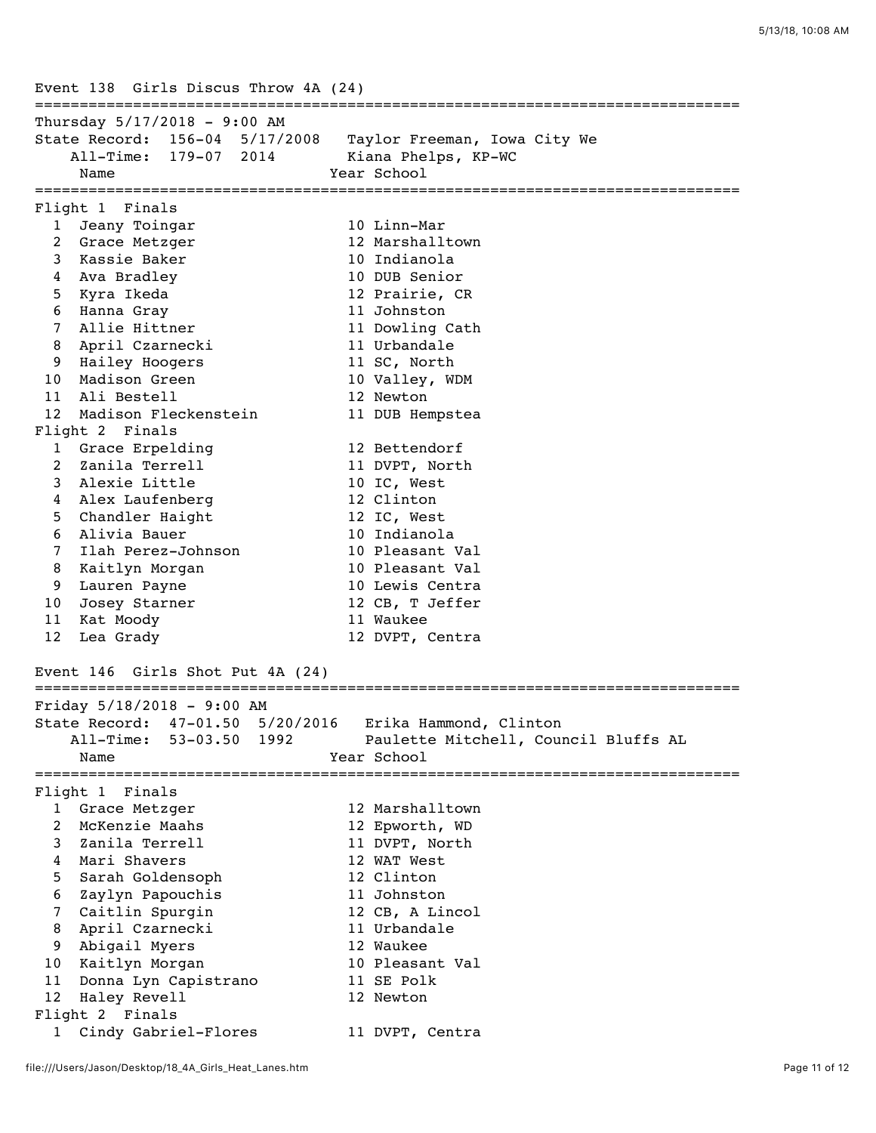Event 138 Girls Discus Throw 4A (24) =============================================================================== Thursday 5/17/2018 - 9:00 AM State Record: 156-04 5/17/2008 Taylor Freeman, Iowa City We All-Time: 179-07 2014 Kiana Phelps, KP-WC Name **Year** School =============================================================================== Flight 1 Finals 1 Jeany Toingar 10 Linn-Mar 2 Grace Metzger 12 Marshalltown 3 Kassie Baker 10 Indianola 4 Ava Bradley 10 DUB Senior 5 Kyra Ikeda 12 Prairie, CR 6 Hanna Gray 11 Johnston 7 Allie Hittner 11 Dowling Cath 8 April Czarnecki 11 Urbandale 9 Hailey Hoogers 11 SC, North 10 Madison Green 10 Valley, WDM 11 Ali Bestell 12 Newton 12 Madison Fleckenstein 11 DUB Hempstea Flight 2 Finals 1 Grace Erpelding 12 Bettendorf 2 Zanila Terrell 11 DVPT, North 3 Alexie Little 10 IC, West 4 Alex Laufenberg 12 Clinton 5 Chandler Haight 12 IC, West 6 Alivia Bauer 10 Indianola 7 Ilah Perez-Johnson 10 Pleasant Val 8 Kaitlyn Morgan 10 Pleasant Val 9 Lauren Payne 10 Lewis Centra 10 Josey Starner 12 CB, T Jeffer 11 Kat Moody 11 Waukee 12 Lea Grady 12 DVPT, Centra Event 146 Girls Shot Put 4A (24) =============================================================================== Friday 5/18/2018 - 9:00 AM State Record: 47-01.50 5/20/2016 Erika Hammond, Clinton All-Time: 53-03.50 1992 Paulette Mitchell, Council Bluffs AL Name Year School =============================================================================== Flight 1 Finals 1 Grace Metzger 12 Marshalltown 2 McKenzie Maahs 12 Epworth, WD 3 Zanila Terrell 11 DVPT, North 4 Mari Shavers 12 WAT West 5 Sarah Goldensoph 12 Clinton 6 Zaylyn Papouchis 11 Johnston 7 Caitlin Spurgin 12 CB, A Lincol 8 April Czarnecki 11 Urbandale 9 Abigail Myers 12 Waukee 10 Kaitlyn Morgan 10 Pleasant Val 11 Donna Lyn Capistrano 11 SE Polk 12 Haley Revell 12 Newton Flight 2 Finals 1 Cindy Gabriel-Flores 11 DVPT, Centra